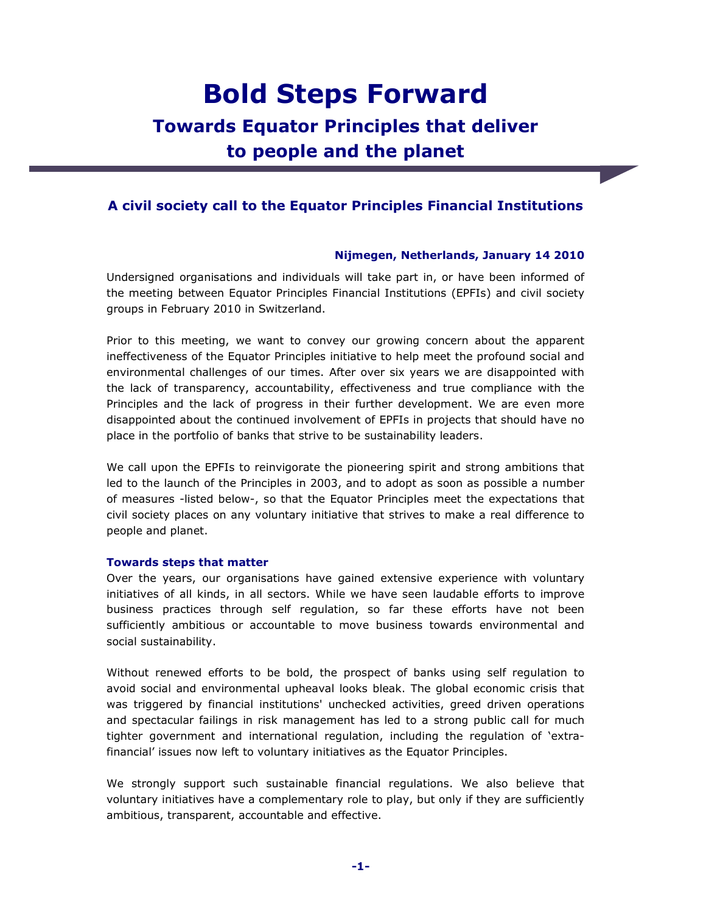# **Bold Steps Forward Towards Equator Principles that deliver to people and the planet**

# **A civil society call to the Equator Principles Financial Institutions**

# **Nijmegen, Netherlands, January 14 2010**

Undersigned organisations and individuals will take part in, or have been informed of the meeting between Equator Principles Financial Institutions (EPFIs) and civil society groups in February 2010 in Switzerland.

Prior to this meeting, we want to convey our growing concern about the apparent ineffectiveness of the Equator Principles initiative to help meet the profound social and environmental challenges of our times. After over six years we are disappointed with the lack of transparency, accountability, effectiveness and true compliance with the Principles and the lack of progress in their further development. We are even more disappointed about the continued involvement of EPFIs in projects that should have no place in the portfolio of banks that strive to be sustainability leaders.

We call upon the EPFIs to reinvigorate the pioneering spirit and strong ambitions that led to the launch of the Principles in 2003, and to adopt as soon as possible a number of measures -listed below-, so that the Equator Principles meet the expectations that civil society places on any voluntary initiative that strives to make a real difference to people and planet.

# **Towards steps that matter**

Over the years, our organisations have gained extensive experience with voluntary initiatives of all kinds, in all sectors. While we have seen laudable efforts to improve business practices through self regulation, so far these efforts have not been sufficiently ambitious or accountable to move business towards environmental and social sustainability.

Without renewed efforts to be bold, the prospect of banks using self regulation to avoid social and environmental upheaval looks bleak. The global economic crisis that was triggered by financial institutions' unchecked activities, greed driven operations and spectacular failings in risk management has led to a strong public call for much tighter government and international regulation, including the regulation of 'extrafinancial' issues now left to voluntary initiatives as the Equator Principles.

We strongly support such sustainable financial regulations. We also believe that voluntary initiatives have a complementary role to play, but only if they are sufficiently ambitious, transparent, accountable and effective.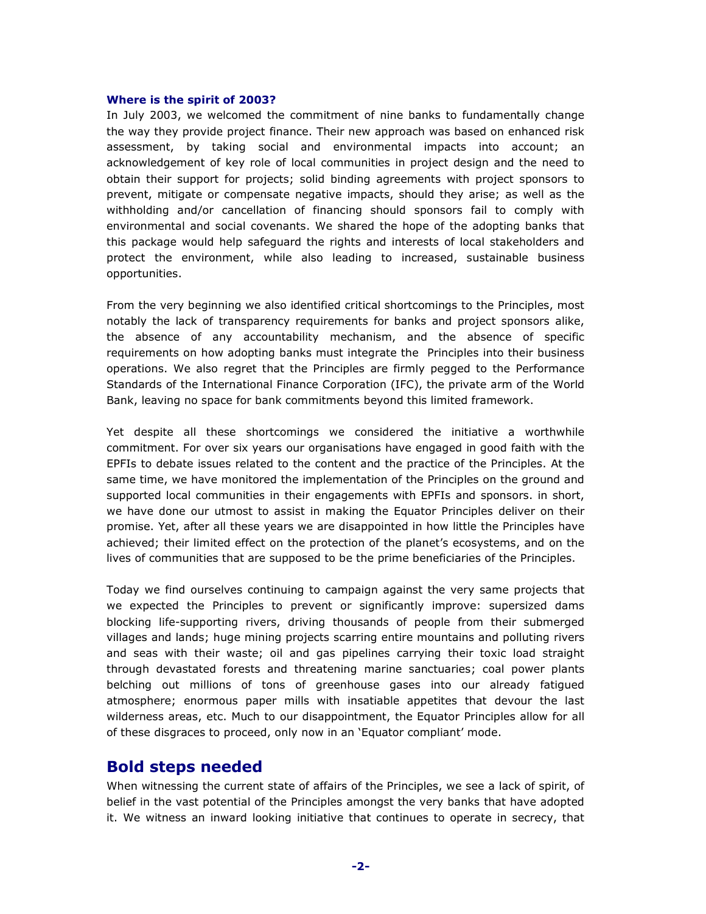#### **Where is the spirit of 2003?**

In July 2003, we welcomed the commitment of nine banks to fundamentally change the way they provide project finance. Their new approach was based on enhanced risk assessment, by taking social and environmental impacts into account; an acknowledgement of key role of local communities in project design and the need to obtain their support for projects; solid binding agreements with project sponsors to prevent, mitigate or compensate negative impacts, should they arise; as well as the withholding and/or cancellation of financing should sponsors fail to comply with environmental and social covenants. We shared the hope of the adopting banks that this package would help safeguard the rights and interests of local stakeholders and protect the environment, while also leading to increased, sustainable business opportunities.

From the very beginning we also identified critical shortcomings to the Principles, most notably the lack of transparency requirements for banks and project sponsors alike, the absence of any accountability mechanism, and the absence of specific requirements on how adopting banks must integrate the Principles into their business operations. We also regret that the Principles are firmly pegged to the Performance Standards of the International Finance Corporation (IFC), the private arm of the World Bank, leaving no space for bank commitments beyond this limited framework.

Yet despite all these shortcomings we considered the initiative a worthwhile commitment. For over six years our organisations have engaged in good faith with the EPFIs to debate issues related to the content and the practice of the Principles. At the same time, we have monitored the implementation of the Principles on the ground and supported local communities in their engagements with EPFIs and sponsors. in short, we have done our utmost to assist in making the Equator Principles deliver on their promise. Yet, after all these years we are disappointed in how little the Principles have achieved; their limited effect on the protection of the planet's ecosystems, and on the lives of communities that are supposed to be the prime beneficiaries of the Principles.

Today we find ourselves continuing to campaign against the very same projects that we expected the Principles to prevent or significantly improve: supersized dams blocking life-supporting rivers, driving thousands of people from their submerged villages and lands; huge mining projects scarring entire mountains and polluting rivers and seas with their waste; oil and gas pipelines carrying their toxic load straight through devastated forests and threatening marine sanctuaries; coal power plants belching out millions of tons of greenhouse gases into our already fatigued atmosphere; enormous paper mills with insatiable appetites that devour the last wilderness areas, etc. Much to our disappointment, the Equator Principles allow for all of these disgraces to proceed, only now in an 'Equator compliant' mode.

# **Bold steps needed**

When witnessing the current state of affairs of the Principles, we see a lack of spirit, of belief in the vast potential of the Principles amongst the very banks that have adopted it. We witness an inward looking initiative that continues to operate in secrecy, that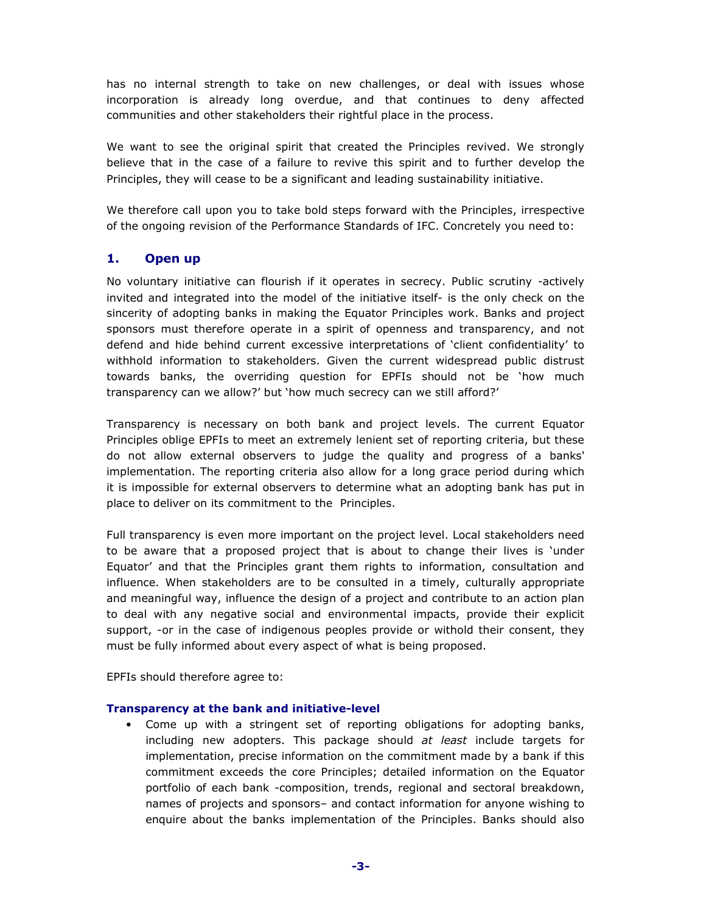has no internal strength to take on new challenges, or deal with issues whose incorporation is already long overdue, and that continues to deny affected communities and other stakeholders their rightful place in the process.

We want to see the original spirit that created the Principles revived. We strongly believe that in the case of a failure to revive this spirit and to further develop the Principles, they will cease to be a significant and leading sustainability initiative.

We therefore call upon you to take bold steps forward with the Principles, irrespective of the ongoing revision of the Performance Standards of IFC. Concretely you need to:

# **1. Open up**

No voluntary initiative can flourish if it operates in secrecy. Public scrutiny -actively invited and integrated into the model of the initiative itself- is the only check on the sincerity of adopting banks in making the Equator Principles work. Banks and project sponsors must therefore operate in a spirit of openness and transparency, and not defend and hide behind current excessive interpretations of 'client confidentiality' to withhold information to stakeholders. Given the current widespread public distrust towards banks, the overriding question for EPFIs should not be 'how much transparency can we allow?' but 'how much secrecy can we still afford?'

Transparency is necessary on both bank and project levels. The current Equator Principles oblige EPFIs to meet an extremely lenient set of reporting criteria, but these do not allow external observers to judge the quality and progress of a banks' implementation. The reporting criteria also allow for a long grace period during which it is impossible for external observers to determine what an adopting bank has put in place to deliver on its commitment to the Principles.

Full transparency is even more important on the project level. Local stakeholders need to be aware that a proposed project that is about to change their lives is 'under Equator' and that the Principles grant them rights to information, consultation and influence. When stakeholders are to be consulted in a timely, culturally appropriate and meaningful way, influence the design of a project and contribute to an action plan to deal with any negative social and environmental impacts, provide their explicit support, -or in the case of indigenous peoples provide or withold their consent, they must be fully informed about every aspect of what is being proposed.

EPFIs should therefore agree to:

#### **Transparency at the bank and initiative-level**

• Come up with a stringent set of reporting obligations for adopting banks, including new adopters. This package should *at least* include targets for implementation, precise information on the commitment made by a bank if this commitment exceeds the core Principles; detailed information on the Equator portfolio of each bank -composition, trends, regional and sectoral breakdown, names of projects and sponsors– and contact information for anyone wishing to enquire about the banks implementation of the Principles. Banks should also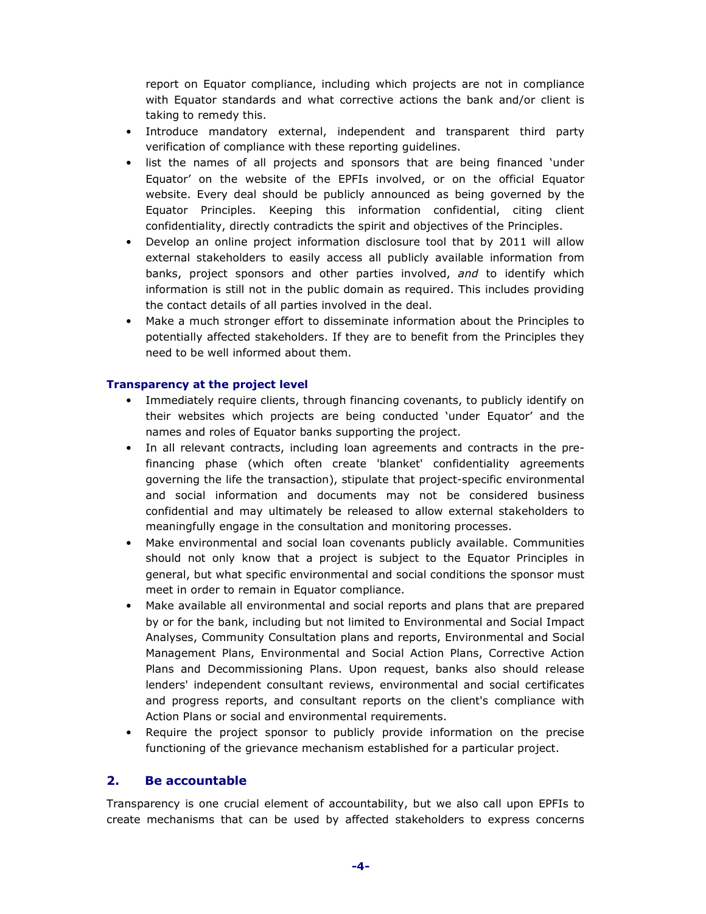report on Equator compliance, including which projects are not in compliance with Equator standards and what corrective actions the bank and/or client is taking to remedy this.

- Introduce mandatory external, independent and transparent third party verification of compliance with these reporting guidelines.
- list the names of all projects and sponsors that are being financed 'under Equator' on the website of the EPFIs involved, or on the official Equator website. Every deal should be publicly announced as being governed by the Equator Principles. Keeping this information confidential, citing client confidentiality, directly contradicts the spirit and objectives of the Principles.
- Develop an online project information disclosure tool that by 2011 will allow external stakeholders to easily access all publicly available information from banks, project sponsors and other parties involved, *and* to identify which information is still not in the public domain as required. This includes providing the contact details of all parties involved in the deal.
- Make a much stronger effort to disseminate information about the Principles to potentially affected stakeholders. If they are to benefit from the Principles they need to be well informed about them.

# **Transparency at the project level**

- Immediately require clients, through financing covenants, to publicly identify on their websites which projects are being conducted 'under Equator' and the names and roles of Equator banks supporting the project.
- In all relevant contracts, including loan agreements and contracts in the prefinancing phase (which often create 'blanket' confidentiality agreements governing the life the transaction), stipulate that project-specific environmental and social information and documents may not be considered business confidential and may ultimately be released to allow external stakeholders to meaningfully engage in the consultation and monitoring processes.
- Make environmental and social loan covenants publicly available. Communities should not only know that a project is subject to the Equator Principles in general, but what specific environmental and social conditions the sponsor must meet in order to remain in Equator compliance.
- Make available all environmental and social reports and plans that are prepared by or for the bank, including but not limited to Environmental and Social Impact Analyses, Community Consultation plans and reports, Environmental and Social Management Plans, Environmental and Social Action Plans, Corrective Action Plans and Decommissioning Plans. Upon request, banks also should release lenders' independent consultant reviews, environmental and social certificates and progress reports, and consultant reports on the client's compliance with Action Plans or social and environmental requirements.
- Require the project sponsor to publicly provide information on the precise functioning of the grievance mechanism established for a particular project.

# **2. Be accountable**

Transparency is one crucial element of accountability, but we also call upon EPFIs to create mechanisms that can be used by affected stakeholders to express concerns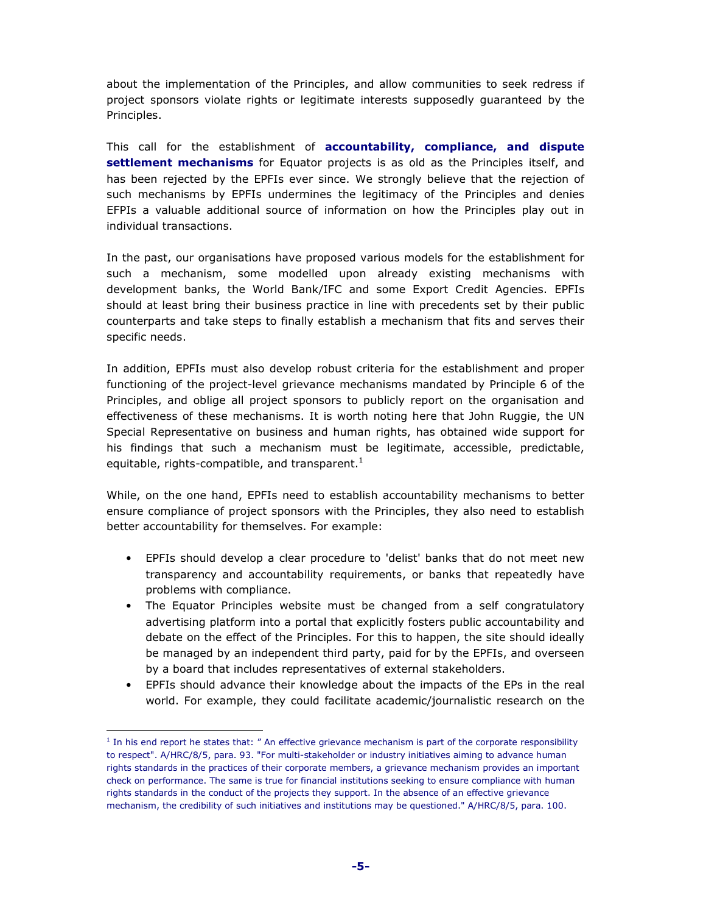about the implementation of the Principles, and allow communities to seek redress if project sponsors violate rights or legitimate interests supposedly guaranteed by the Principles.

This call for the establishment of **accountability, compliance, and dispute settlement mechanisms** for Equator projects is as old as the Principles itself, and has been rejected by the EPFIs ever since. We strongly believe that the rejection of such mechanisms by EPFIs undermines the legitimacy of the Principles and denies EFPIs a valuable additional source of information on how the Principles play out in individual transactions.

In the past, our organisations have proposed various models for the establishment for such a mechanism, some modelled upon already existing mechanisms with development banks, the World Bank/IFC and some Export Credit Agencies. EPFIs should at least bring their business practice in line with precedents set by their public counterparts and take steps to finally establish a mechanism that fits and serves their specific needs.

In addition, EPFIs must also develop robust criteria for the establishment and proper functioning of the project-level grievance mechanisms mandated by Principle 6 of the Principles, and oblige all project sponsors to publicly report on the organisation and effectiveness of these mechanisms. It is worth noting here that John Ruggie, the UN Special Representative on business and human rights, has obtained wide support for his findings that such a mechanism must be legitimate, accessible, predictable, equitable, rights-compatible, and transparent. $<sup>1</sup>$ </sup>

While, on the one hand, EPFIs need to establish accountability mechanisms to better ensure compliance of project sponsors with the Principles, they also need to establish better accountability for themselves. For example:

- EPFIs should develop a clear procedure to 'delist' banks that do not meet new transparency and accountability requirements, or banks that repeatedly have problems with compliance.
- The Equator Principles website must be changed from a self congratulatory advertising platform into a portal that explicitly fosters public accountability and debate on the effect of the Principles. For this to happen, the site should ideally be managed by an independent third party, paid for by the EPFIs, and overseen by a board that includes representatives of external stakeholders.
- EPFIs should advance their knowledge about the impacts of the EPs in the real world. For example, they could facilitate academic/journalistic research on the

 $\overline{a}$ 

<sup>&</sup>lt;sup>1</sup> In his end report he states that: " An effective grievance mechanism is part of the corporate responsibility to respect". A/HRC/8/5, para. 93. "For multi-stakeholder or industry initiatives aiming to advance human rights standards in the practices of their corporate members, a grievance mechanism provides an important check on performance. The same is true for financial institutions seeking to ensure compliance with human rights standards in the conduct of the projects they support. In the absence of an effective grievance mechanism, the credibility of such initiatives and institutions may be questioned." A/HRC/8/5, para. 100.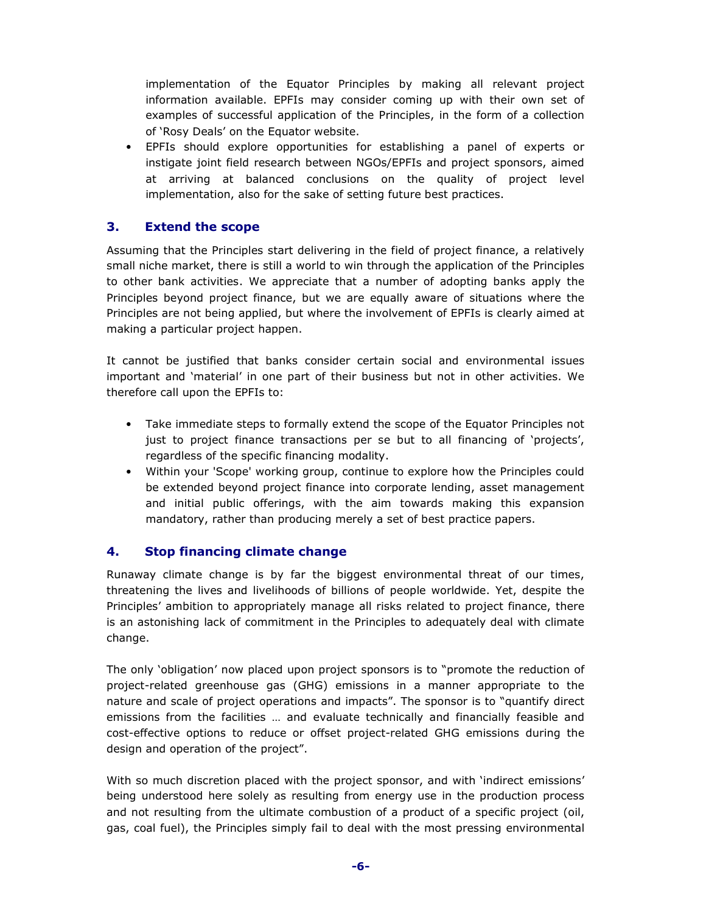implementation of the Equator Principles by making all relevant project information available. EPFIs may consider coming up with their own set of examples of successful application of the Principles, in the form of a collection of 'Rosy Deals' on the Equator website.

• EPFIs should explore opportunities for establishing a panel of experts or instigate joint field research between NGOs/EPFIs and project sponsors, aimed at arriving at balanced conclusions on the quality of project level implementation, also for the sake of setting future best practices.

# **3. Extend the scope**

Assuming that the Principles start delivering in the field of project finance, a relatively small niche market, there is still a world to win through the application of the Principles to other bank activities. We appreciate that a number of adopting banks apply the Principles beyond project finance, but we are equally aware of situations where the Principles are not being applied, but where the involvement of EPFIs is clearly aimed at making a particular project happen.

It cannot be justified that banks consider certain social and environmental issues important and 'material' in one part of their business but not in other activities. We therefore call upon the EPFIs to:

- Take immediate steps to formally extend the scope of the Equator Principles not just to project finance transactions per se but to all financing of 'projects', regardless of the specific financing modality.
- Within your 'Scope' working group, continue to explore how the Principles could be extended beyond project finance into corporate lending, asset management and initial public offerings, with the aim towards making this expansion mandatory, rather than producing merely a set of best practice papers.

# **4. Stop financing climate change**

Runaway climate change is by far the biggest environmental threat of our times, threatening the lives and livelihoods of billions of people worldwide. Yet, despite the Principles' ambition to appropriately manage all risks related to project finance, there is an astonishing lack of commitment in the Principles to adequately deal with climate change.

The only 'obligation' now placed upon project sponsors is to "promote the reduction of project-related greenhouse gas (GHG) emissions in a manner appropriate to the nature and scale of project operations and impacts". The sponsor is to "quantify direct emissions from the facilities … and evaluate technically and financially feasible and cost-effective options to reduce or offset project-related GHG emissions during the design and operation of the project".

With so much discretion placed with the project sponsor, and with 'indirect emissions' being understood here solely as resulting from energy use in the production process and not resulting from the ultimate combustion of a product of a specific project (oil, gas, coal fuel), the Principles simply fail to deal with the most pressing environmental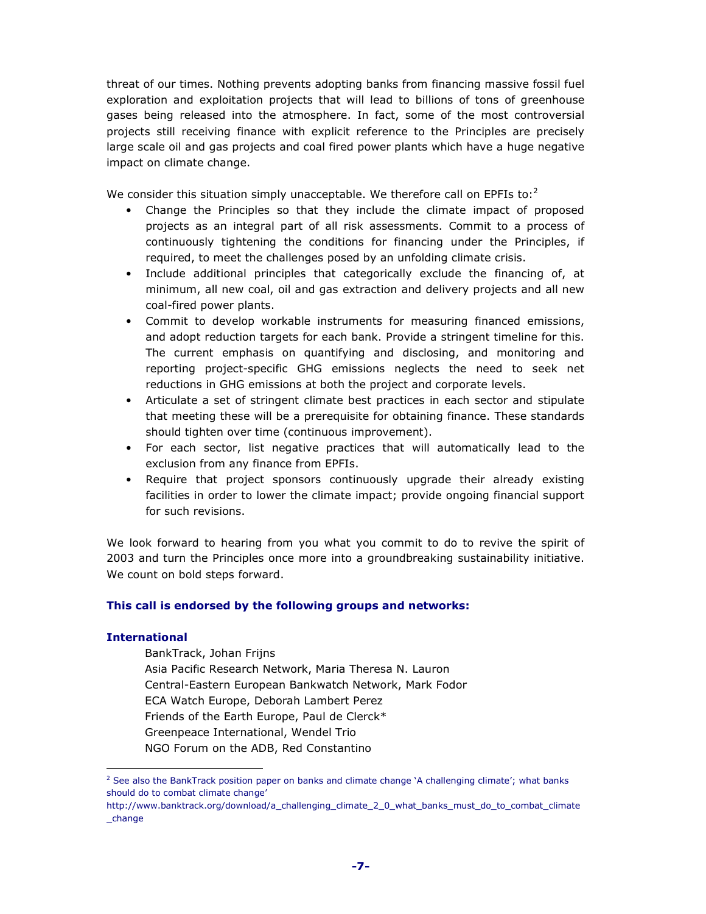threat of our times. Nothing prevents adopting banks from financing massive fossil fuel exploration and exploitation projects that will lead to billions of tons of greenhouse gases being released into the atmosphere. In fact, some of the most controversial projects still receiving finance with explicit reference to the Principles are precisely large scale oil and gas projects and coal fired power plants which have a huge negative impact on climate change.

We consider this situation simply unacceptable. We therefore call on EPFIs to: $2$ 

- Change the Principles so that they include the climate impact of proposed projects as an integral part of all risk assessments. Commit to a process of continuously tightening the conditions for financing under the Principles, if required, to meet the challenges posed by an unfolding climate crisis.
- Include additional principles that categorically exclude the financing of, at minimum, all new coal, oil and gas extraction and delivery projects and all new coal-fired power plants.
- Commit to develop workable instruments for measuring financed emissions, and adopt reduction targets for each bank. Provide a stringent timeline for this. The current emphasis on quantifying and disclosing, and monitoring and reporting project-specific GHG emissions neglects the need to seek net reductions in GHG emissions at both the project and corporate levels.
- Articulate a set of stringent climate best practices in each sector and stipulate that meeting these will be a prerequisite for obtaining finance. These standards should tighten over time (continuous improvement).
- For each sector, list negative practices that will automatically lead to the exclusion from any finance from EPFIs.
- Require that project sponsors continuously upgrade their already existing facilities in order to lower the climate impact; provide ongoing financial support for such revisions.

We look forward to hearing from you what you commit to do to revive the spirit of 2003 and turn the Principles once more into a groundbreaking sustainability initiative. We count on bold steps forward.

# **This call is endorsed by the following groups and networks:**

#### **International**

 $\overline{a}$ 

 BankTrack, Johan Frijns Asia Pacific Research Network, Maria Theresa N. Lauron Central-Eastern European Bankwatch Network, Mark Fodor ECA Watch Europe, Deborah Lambert Perez Friends of the Earth Europe, Paul de Clerck\* Greenpeace International, Wendel Trio NGO Forum on the ADB, Red Constantino

<sup>&</sup>lt;sup>2</sup> See also the BankTrack position paper on banks and climate change `A challenging climate'; what banks should do to combat climate change'

http://www.banktrack.org/download/a\_challenging\_climate\_2\_0\_what\_banks\_must\_do\_to\_combat\_climate \_change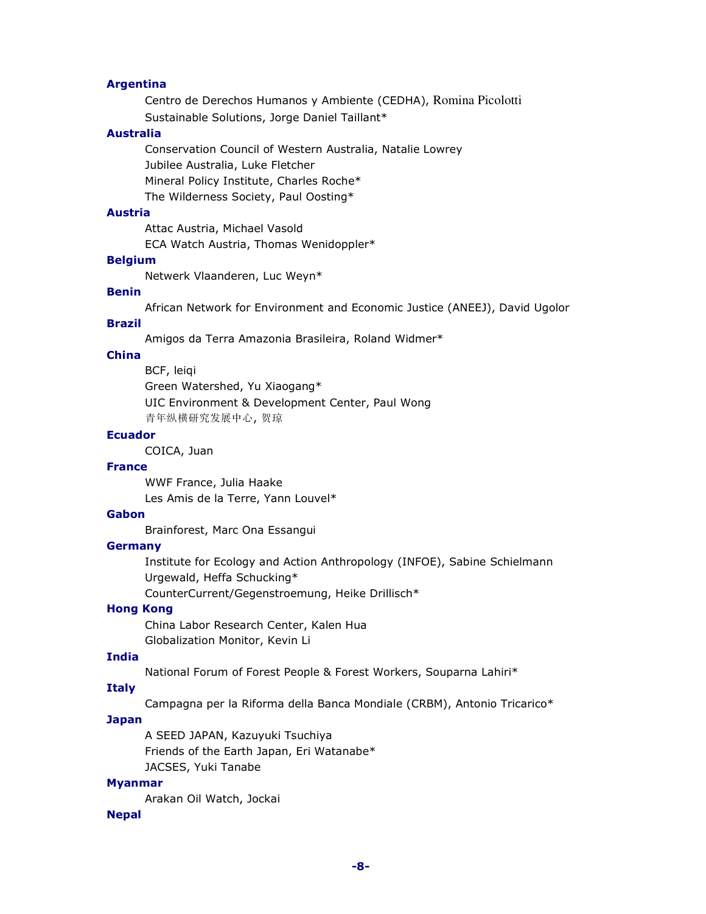# **Argentina**

 Centro de Derechos Humanos y Ambiente (CEDHA), Romina Picolotti Sustainable Solutions, Jorge Daniel Taillant\*

#### **Australia**

 Conservation Council of Western Australia, Natalie Lowrey Jubilee Australia, Luke Fletcher Mineral Policy Institute, Charles Roche\* The Wilderness Society, Paul Oosting\*

### **Austria**

 Attac Austria, Michael Vasold ECA Watch Austria, Thomas Wenidoppler\*

# **Belgium**

Netwerk Vlaanderen, Luc Weyn\*

#### **Benin**

African Network for Environment and Economic Justice (ANEEJ), David Ugolor

#### **Brazil**

Amigos da Terra Amazonia Brasileira, Roland Widmer\*

# **China**

 BCF, leiqi Green Watershed, Yu Xiaogang\* UIC Environment & Development Center, Paul Wong 青年纵横研究发展中心, 贺琼

# **Ecuador**

COICA, Juan

#### **France**

 WWF France, Julia Haake Les Amis de la Terre, Yann Louvel\*

#### **Gabon**

Brainforest, Marc Ona Essangui

## **Germany**

 Institute for Ecology and Action Anthropology (INFOE), Sabine Schielmann Urgewald, Heffa Schucking\*

CounterCurrent/Gegenstroemung, Heike Drillisch\*

# **Hong Kong**

 China Labor Research Center, Kalen Hua Globalization Monitor, Kevin Li

# **India**

National Forum of Forest People & Forest Workers, Souparna Lahiri\*

#### **Italy**

Campagna per la Riforma della Banca Mondiale (CRBM), Antonio Tricarico\*

# **Japan**

 A SEED JAPAN, Kazuyuki Tsuchiya Friends of the Earth Japan, Eri Watanabe\* JACSES, Yuki Tanabe

#### **Myanmar**

Arakan Oil Watch, Jockai

#### **Nepal**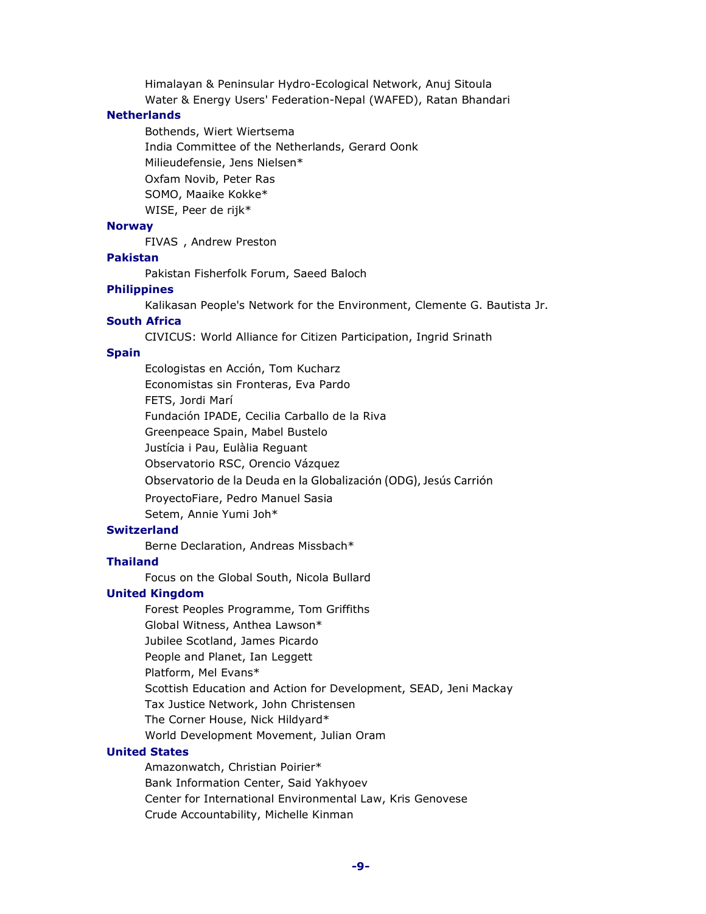Himalayan & Peninsular Hydro-Ecological Network, Anuj Sitoula Water & Energy Users' Federation-Nepal (WAFED), Ratan Bhandari

#### **Netherlands**

 Bothends, Wiert Wiertsema India Committee of the Netherlands, Gerard Oonk Milieudefensie, Jens Nielsen\* Oxfam Novib, Peter Ras SOMO, Maaike Kokke\* WISE, Peer de rijk\*

#### **Norway**

FIVAS , Andrew Preston

# **Pakistan**

Pakistan Fisherfolk Forum, Saeed Baloch

#### **Philippines**

Kalikasan People's Network for the Environment, Clemente G. Bautista Jr.

#### **South Africa**

CIVICUS: World Alliance for Citizen Participation, Ingrid Srinath

#### **Spain**

 Ecologistas en Acción, Tom Kucharz Economistas sin Fronteras, Eva Pardo FETS, Jordi Marí Fundación IPADE, Cecilia Carballo de la Riva Greenpeace Spain, Mabel Bustelo Justícia i Pau, Eulàlia Reguant Observatorio RSC, Orencio Vázquez Observatorio de la Deuda en la Globalización (ODG), Jesús Carrión ProyectoFiare, Pedro Manuel Sasia Setem, Annie Yumi Joh\*

#### **Switzerland**

Berne Declaration, Andreas Missbach\*

## **Thailand**

Focus on the Global South, Nicola Bullard

#### **United Kingdom**

 Forest Peoples Programme, Tom Griffiths Global Witness, Anthea Lawson\* Jubilee Scotland, James Picardo People and Planet, Ian Leggett Platform, Mel Evans\* Scottish Education and Action for Development, SEAD, Jeni Mackay Tax Justice Network, John Christensen The Corner House, Nick Hildyard\*

World Development Movement, Julian Oram

# **United States**

 Amazonwatch, Christian Poirier\* Bank Information Center, Said Yakhyoev Center for International Environmental Law, Kris Genovese Crude Accountability, Michelle Kinman